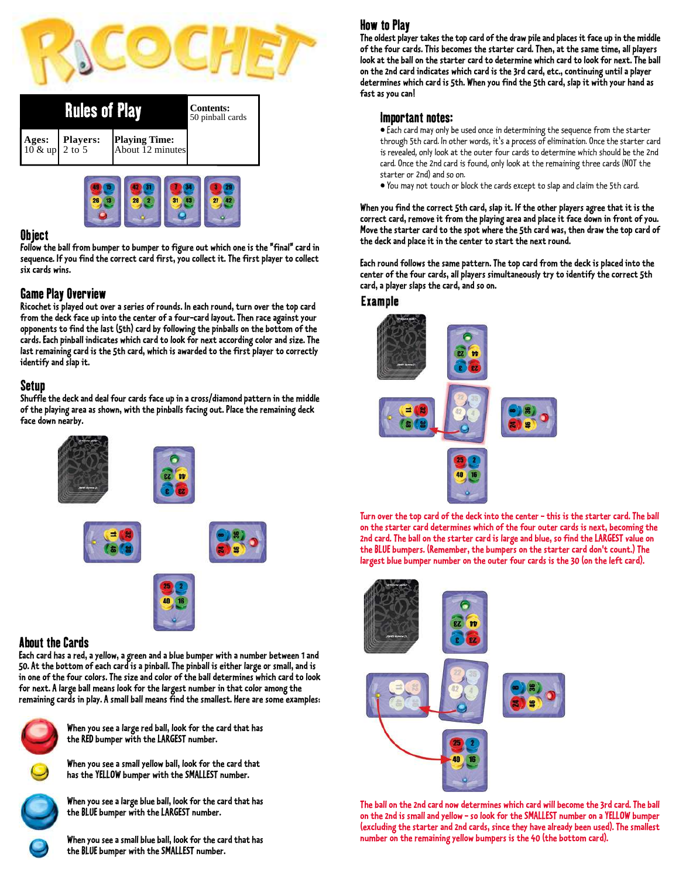

|       | <b>Rules of Play</b>                          | <b>Contents:</b><br>50 pinball cards     |  |
|-------|-----------------------------------------------|------------------------------------------|--|
| Ages: | Players:<br>$10 \& \text{up} 2 \text{ to } 5$ | <b>Playing Time:</b><br>About 12 minutes |  |



#### Object

**Follow the ball from bumper to bumper to figure out which one is the "final" card in sequence. If you find the correct card first, you collect it. The first player to collect six cards wins.**

## Game Play Overview

**Ricochet is played out over a series of rounds. In each round, turn over the top card from the deck face up into the center of a four-card layout. Then race against your opponents to find the last (5th) card by following the pinballs on the bottom of the cards. Each pinball indicates which card to look for next according color and size. The last remaining card is the 5th card, which is awarded to the first player to correctly identify and slap it.**

## Setup

**Shuffle the deck and deal four cards face up in a cross/diamond pattern in the middle of the playing area as shown, with the pinballs facing out. Place the remaining deck face down nearby.**



## About the Cards

**Each card has a red, a yellow, a green and a blue bumper with a number between 1 and 50. At the bottom of each card is a pinball. The pinball is either large or small, and is in one of the four colors. The size and color of the ball determines which card to look for next. A large ball means look for the largest number in that color among the remaining cards in play. A small ball means find the smallest. Here are some examples:**



**When you see a large red ball, look for the card that has the RED bumper with the LARGEST number.**

**When you see a small yellow ball, look for the card that has the YELLOW bumper with the SMALLEST number.**



**When you see a large blue ball, look for the card that has the BLUE bumper with the LARGEST number.**

**When you see a small blue ball, look for the card that has the BLUE bumper with the SMALLEST number.**

# How to Play

**The oldest player takes the top card of the draw pile and places it face up in the middle of the four cards. This becomes the starter card. Then, at the same time, all players look at the ball on the starter card to determine which card to look for next. The ball on the 2nd card indicates which card is the 3rd card, etc., continuing until a player determines which card is 5th. When you find the 5th card, slap it with your hand as fast as you can!**

## Important notes:

• Each card may only be used once in determining the sequence from the starter through 5th card. In other words, it's a process of elimination. Once the starter card is revealed, only look at the outer four cards to determine which should be the 2nd card. Once the 2nd card is found, only look at the remaining three cards (NOT the starter or 2nd) and so on.

• You may not touch or block the cards except to slap and claim the 5th card.

**When you find the correct 5th card, slap it. If the other players agree that it is the correct card, remove it from the playing area and place it face down in front of you. Move the starter card to the spot where the 5th card was, then draw the top card of the deck and place it in the center to start the next round.**

**Each round follows the same pattern. The top card from the deck is placed into the center of the four cards, all players simultaneously try to identify the correct 5th card, a player slaps the card, and so on.**

#### Example



**Turn over the top card of the deck into the center - this is the starter card. The ball on the starter card determines which of the four outer cards is next, becoming the 2nd card. The ball on the starter card is large and blue, so find the LARGEST value on the BLUE bumpers. (Remember, the bumpers on the starter card don't count.) The largest blue bumper number on the outer four cards is the 30 (on the left card).**



**The ball on the 2nd card now determines which card will become the 3rd card. The ball on the 2nd is small and yellow - so look for the SMALLEST number on a YELLOW bumper (excluding the starter and 2nd cards, since they have already been used). The smallest number on the remaining yellow bumpers is the 40 (the bottom card).**